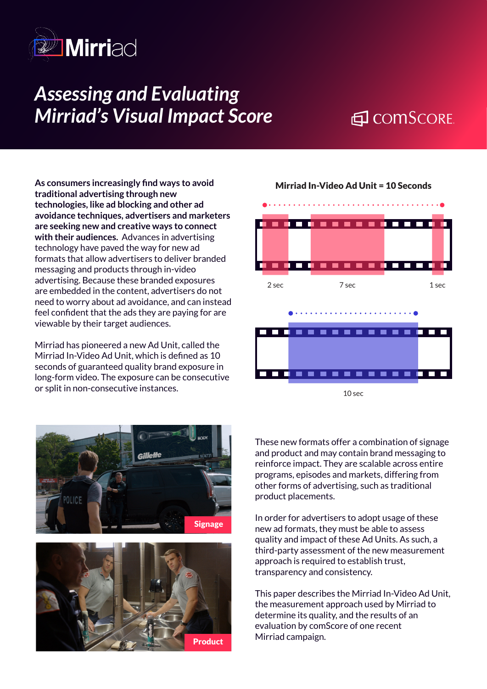

# *Assessing and Evaluating Mirriad's Visual Impact Score*

# 日 COMSCORE

**As consumers increasingly find ways to avoid traditional advertising through new technologies, like ad blocking and other ad avoidance techniques, advertisers and marketers are seeking new and creative ways to connect with their audiences.** Advances in advertising technology have paved the way for new ad formats that allow advertisers to deliver branded messaging and products through in-video advertising. Because these branded exposures are embedded in the content, advertisers do not need to worry about ad avoidance, and can instead feel confident that the ads they are paying for are viewable by their target audiences.

Mirriad has pioneered a new Ad Unit, called the Mirriad In-Video Ad Unit, which is defined as 10 seconds of guaranteed quality brand exposure in long-form video. The exposure can be consecutive or split in non-consecutive instances.







Mirriad In-Video Ad Unit = 10 Seconds

These new formats offer a combination of signage and product and may contain brand messaging to reinforce impact. They are scalable across entire programs, episodes and markets, differing from other forms of advertising, such as traditional product placements.

In order for advertisers to adopt usage of these new ad formats, they must be able to assess quality and impact of these Ad Units. As such, a third-party assessment of the new measurement approach is required to establish trust, transparency and consistency.

This paper describes the Mirriad In-Video Ad Unit, the measurement approach used by Mirriad to determine its quality, and the results of an evaluation by comScore of one recent Mirriad campaign.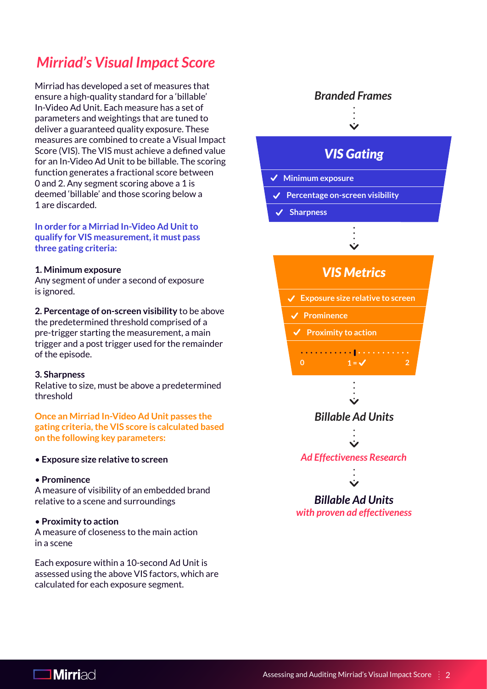## *Mirriad's Visual Impact Score*

Mirriad has developed a set of measures that ensure a high-quality standard for a 'billable' In-Video Ad Unit. Each measure has a set of parameters and weightings that are tuned to deliver a guaranteed quality exposure. These measures are combined to create a Visual Impact Score (VIS). The VIS must achieve a defined value for an In-Video Ad Unit to be billable. The scoring function generates a fractional score between 0 and 2. Any segment scoring above a 1 is deemed 'billable' and those scoring below a 1 are discarded.

**In order for a Mirriad In-Video Ad Unit to qualify for VIS measurement, it must pass three gating criteria:**

#### **1. Minimum exposure**

Any segment of under a second of exposure is ignored.

#### **2. Percentage of on-screen visibility** to be above

the predetermined threshold comprised of a pre-trigger starting the measurement, a main trigger and a post trigger used for the remainder of the episode.

#### **3. Sharpness**

Relative to size, must be above a predetermined threshold

**Once an Mirriad In-Video Ad Unit passes the gating criteria, the VIS score is calculated based on the following key parameters:**

#### • **Exposure size relative to screen**

#### • **Prominence**

A measure of visibility of an embedded brand relative to a scene and surroundings

#### • **Proximity to action**

A measure of closeness to the main action in a scene

Each exposure within a 10-second Ad Unit is assessed using the above VIS factors, which are calculated for each exposure segment.



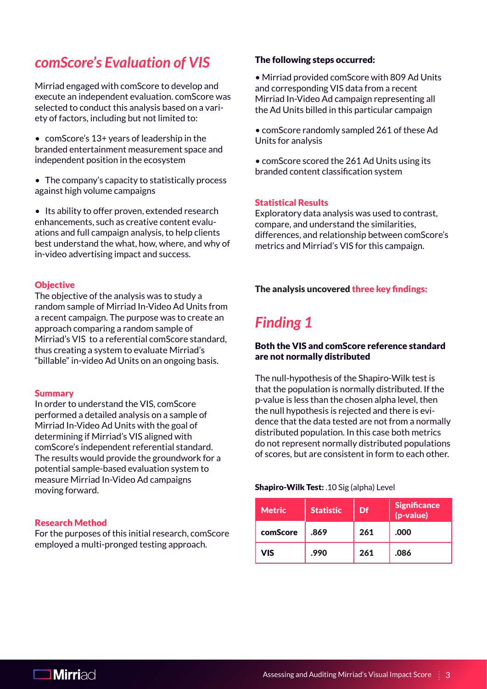### *comScore's Evaluation of VIS*

Mirriad engaged with comScore to develop and execute an independent evaluation. comScore was selected to conduct this analysis based on a variety of factors, including but not limited to:

- comScore's 13+ years of leadership in the branded entertainment measurement space and independent position in the ecosystem
- The company's capacity to statistically process against high volume campaigns

• Its ability to offer proven, extended research enhancements, such as creative content evaluations and full campaign analysis, to help clients best understand the what, how, where, and why of in-video advertising impact and success.

#### **Objective**

The objective of the analysis was to study a random sample of Mirriad In-Video Ad Units from a recent campaign. The purpose was to create an approach comparing a random sample of Mirriad's VIS to a referential comScore standard, thus creating a system to evaluate Mirriad's "billable" in-video Ad Units on an ongoing basis.

#### Summary

In order to understand the VIS, comScore performed a detailed analysis on a sample of Mirriad In-Video Ad Units with the goal of determining if Mirriad's VIS aligned with comScore's independent referential standard. The results would provide the groundwork for a potential sample-based evaluation system to measure Mirriad In-Video Ad campaigns moving forward.

#### Research Method

For the purposes of this initial research, comScore employed a multi-pronged testing approach.

#### The following steps occurred:

- Mirriad provided comScore with 809 Ad Units and corresponding VIS data from a recent Mirriad In-Video Ad campaign representing all the Ad Units billed in this particular campaign
- comScore randomly sampled 261 of these Ad Units for analysis
- comScore scored the 261 Ad Units using its branded content classification system

#### Statistical Results

Exploratory data analysis was used to contrast, compare, and understand the similarities, differences, and relationship between comScore's metrics and Mirriad's VIS for this campaign.

#### The analysis uncovered three key findings:

### *Finding 1*

#### Both the VIS and comScore reference standard are not normally distributed

The null-hypothesis of the Shapiro-Wilk test is that the population is normally distributed. If the p-value is less than the chosen alpha level, then the null hypothesis is rejected and there is evidence that the data tested are not from a normally distributed population. In this case both metrics do not represent normally distributed populations of scores, but are consistent in form to each other.

#### Shapiro-Wilk Test: .10 Sig (alpha) Level

| Metric'  | <b>Statistic</b> | Df  | <b>Significance</b><br>(p-value) |
|----------|------------------|-----|----------------------------------|
| comScore | .869             | 261 | .000                             |
| VIS      | .990             | 261 | .086                             |